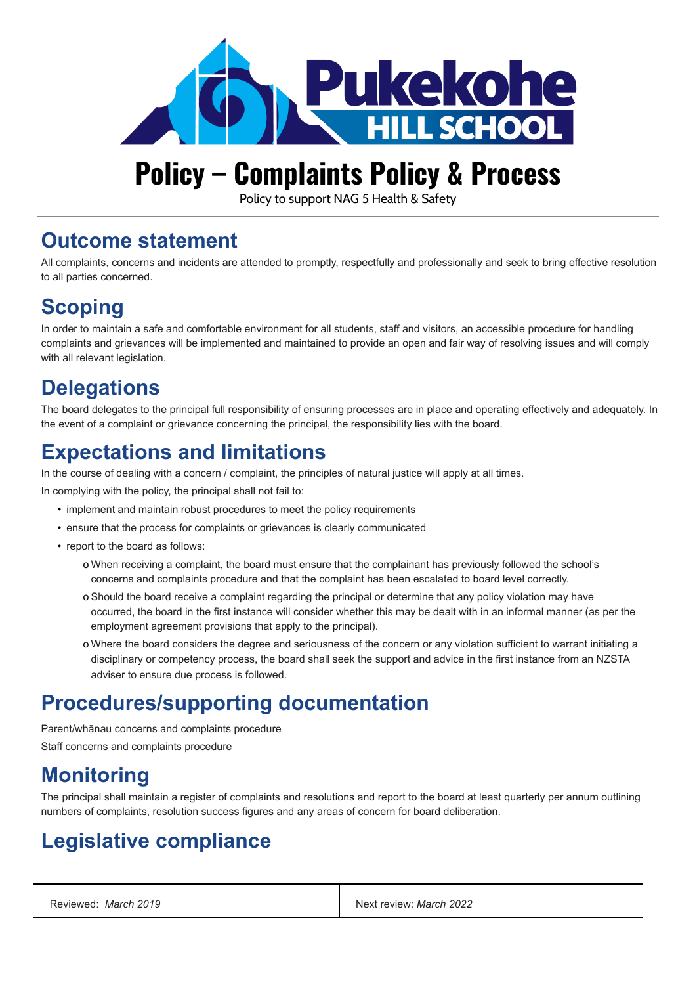

# **Policy – Complaints Policy & Process**

Policy to support NAG 5 Health & Safety

#### **Outcome statement**

All complaints, concerns and incidents are attended to promptly, respectfully and professionally and seek to bring effective resolution to all parties concerned.

## **Scoping**

In order to maintain a safe and comfortable environment for all students, staff and visitors, an accessible procedure for handling complaints and grievances will be implemented and maintained to provide an open and fair way of resolving issues and will comply with all relevant legislation.

# **Delegations**

The board delegates to the principal full responsibility of ensuring processes are in place and operating effectively and adequately. In the event of a complaint or grievance concerning the principal, the responsibility lies with the board.

#### **Expectations and limitations**

In the course of dealing with a concern / complaint, the principles of natural justice will apply at all times.

In complying with the policy, the principal shall not fail to:

- implement and maintain robust procedures to meet the policy requirements
- ensure that the process for complaints or grievances is clearly communicated
- report to the board as follows:
	- o When receiving a complaint, the board must ensure that the complainant has previously followed the school's concerns and complaints procedure and that the complaint has been escalated to board level correctly.
	- o Should the board receive a complaint regarding the principal or determine that any policy violation may have occurred, the board in the first instance will consider whether this may be dealt with in an informal manner (as per the employment agreement provisions that apply to the principal).
	- o Where the board considers the degree and seriousness of the concern or any violation sufficient to warrant initiating a disciplinary or competency process, the board shall seek the support and advice in the first instance from an NZSTA adviser to ensure due process is followed.

#### **Procedures/supporting documentation**

Parent/whānau concerns and complaints procedure Staff concerns and complaints procedure

## **Monitoring**

The principal shall maintain a register of complaints and resolutions and report to the board at least quarterly per annum outlining numbers of complaints, resolution success figures and any areas of concern for board deliberation.

# **Legislative compliance**

| Reviewed: March 2019 | Next review: March 2022 |
|----------------------|-------------------------|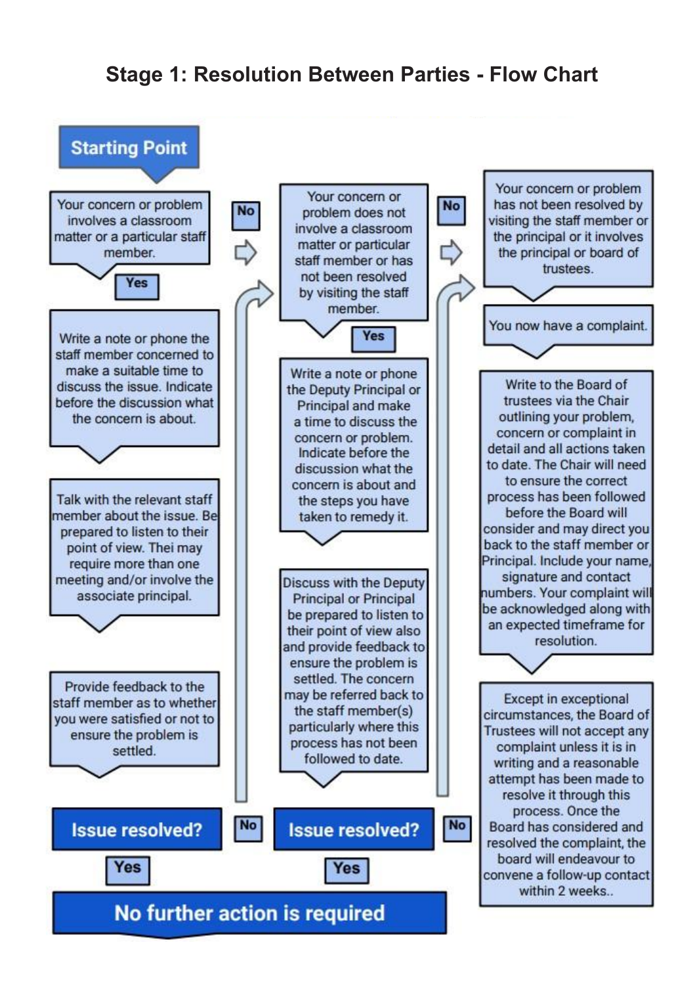#### **Stage 1: Resolution Between Parties - Flow Chart**